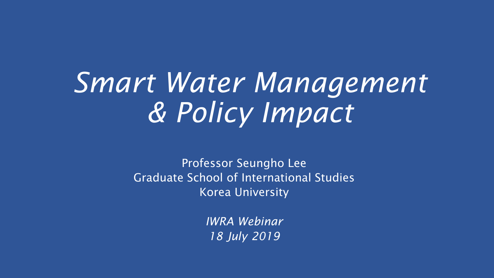## *Smart Water Management & Policy Impact*

Professor Seungho Lee Graduate School of International Studies Korea University

> *IWRA Webinar 18 July 2019*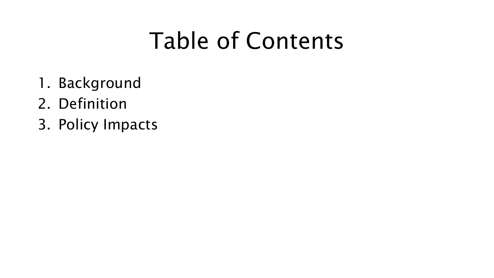#### Table of Contents

- 1. Background
- 2. Definition
- 3. Policy Impacts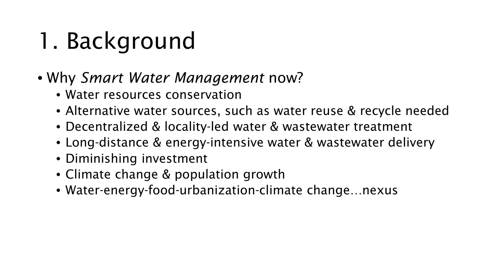## 1. Background

- Why *Smart Water Management* now?
	- Water resources conservation
	- Alternative water sources, such as water reuse & recycle needed
	- Decentralized & locality-led water & wastewater treatment
	- Long-distance & energy-intensive water & wastewater delivery
	- Diminishing investment
	- Climate change & population growth
	- Water-energy-food-urbanization-climate change…nexus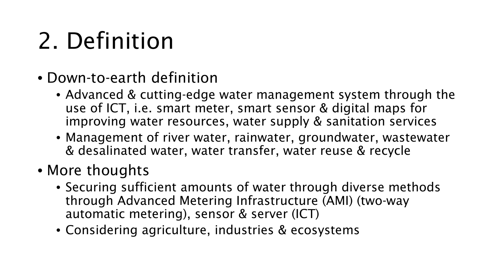## 2. Definition

- Down-to-earth definition
	- Advanced & cutting-edge water management system through the use of ICT, i.e. smart meter, smart sensor & digital maps for improving water resources, water supply & sanitation services
	- Management of river water, rainwater, groundwater, wastewater & desalinated water, water transfer, water reuse & recycle
- More thoughts
	- Securing sufficient amounts of water through diverse methods through Advanced Metering Infrastructure (AMI) (two-way automatic metering), sensor & server (ICT)
	- Considering agriculture, industries & ecosystems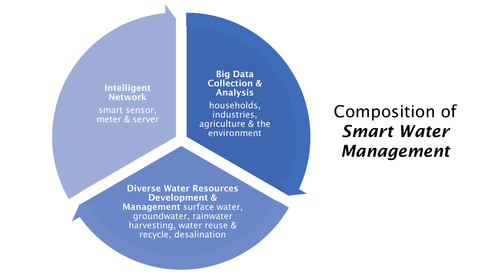Intelligent **Network** smart sensor, meter & server

Big Data Collection & Analysis

households, industries, agriculture & the environment

Composition of *Smart Water Management*

Development & groundwater, rainwater harvesting, water reuse & recycle, desalination

Diverse Water Resources Management surface water,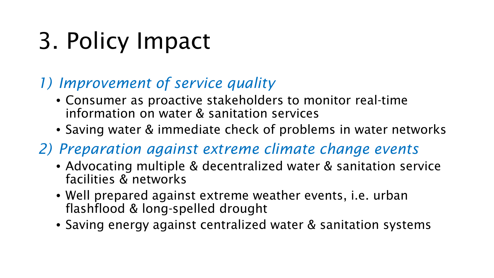## 3. Policy Impact

#### *1) Improvement of service quality*

- Consumer as proactive stakeholders to monitor real-time information on water & sanitation services
- Saving water & immediate check of problems in water networks
- *2) Preparation against extreme climate change events* 
	- Advocating multiple & decentralized water & sanitation service facilities & networks
	- Well prepared against extreme weather events, i.e. urban flashflood & long-spelled drought
	- Saving energy against centralized water & sanitation systems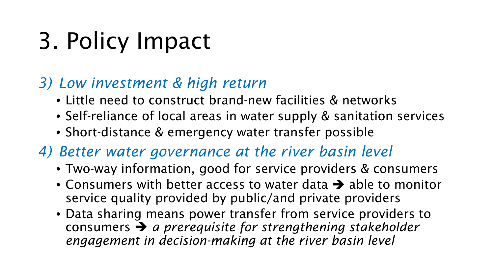## 3. Policy Impact

#### *3) Low investment & high return*

- Little need to construct brand-new facilities & networks
- Self-reliance of local areas in water supply & sanitation services
- Short-distance & emergency water transfer possible

#### *4) Better water governance at the river basin level*

- Two-way information, good for service providers & consumers
- Consumers with better access to water data  $\rightarrow$  able to monitor service quality provided by public/and private providers
- Data sharing means power transfer from service providers to consumers *a prerequisite for strengthening stakeholder engagement in decision-making at the river basin level*